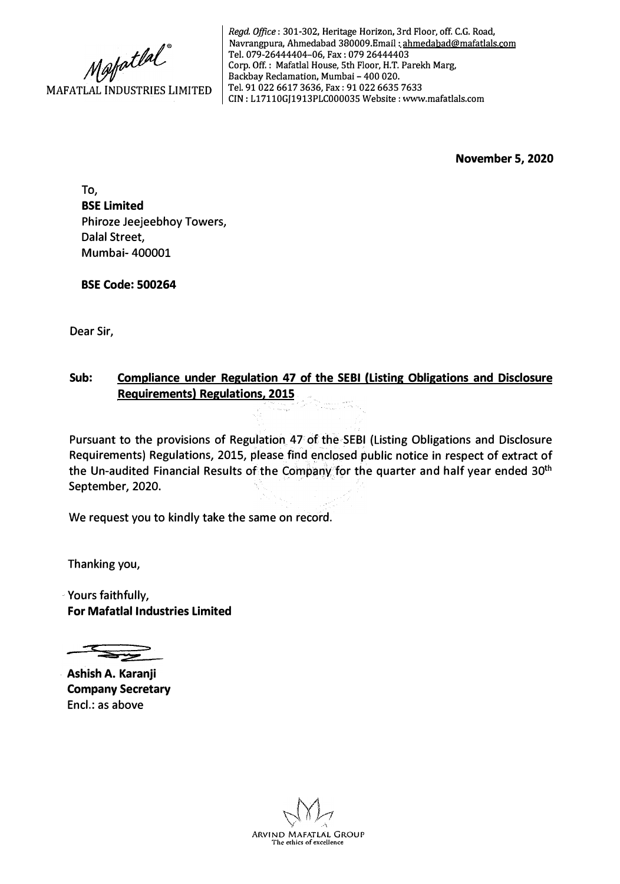

*Regd. Office:* 301-302, Heritage Horizon, 3rd Floor, off. C.G. Road, Navrangpura, Ahmedabad 380009.Email: ahmedabad@mafatlals.com Tel. 079-26444404-06, Fax: 079 26444403 Corp. Off. : Mafatlal House, 5th Floor, H.T. Parekh Marg, Backbay Reclamation, Mumbai - 400 020. Tel. 91 022 6617 3636, Fax: 91 022 6635 7633 CIN: L17110GJ1913PLC000035 Website: www.mafatlals.com

**November 5, 2020** 

**To, BSE Limited**  Phiroze Jeejeebhoy Towers, Dalal Street, Mumbai- 400001

**BSE Code: 500264** 

Dear Sir,

#### **Sub: Compliance under Regulation 47 of the SEBI (Listing Obligations and Disclosure Requirements) Regulations, 2015**

Pursuant to the provisions of Regulation 47 of the SEBI (Listing Obligations and Disclosure Requirements) Regulations, 2015, please find enclosed public notice in respect of extract of the Un-audited Financial Results of the Company for the quarter and half year ended 30<sup>th</sup> September, 2020.

We request you to kindly take the same on record.

Thanking you,

Yours faithfully, **For Mafatlal Industries Limited** 

**Ashish A. Karanji Company Secretary**  Encl.: as above

**ARVIND MAFATLAL GROUP**  The erhics of excellence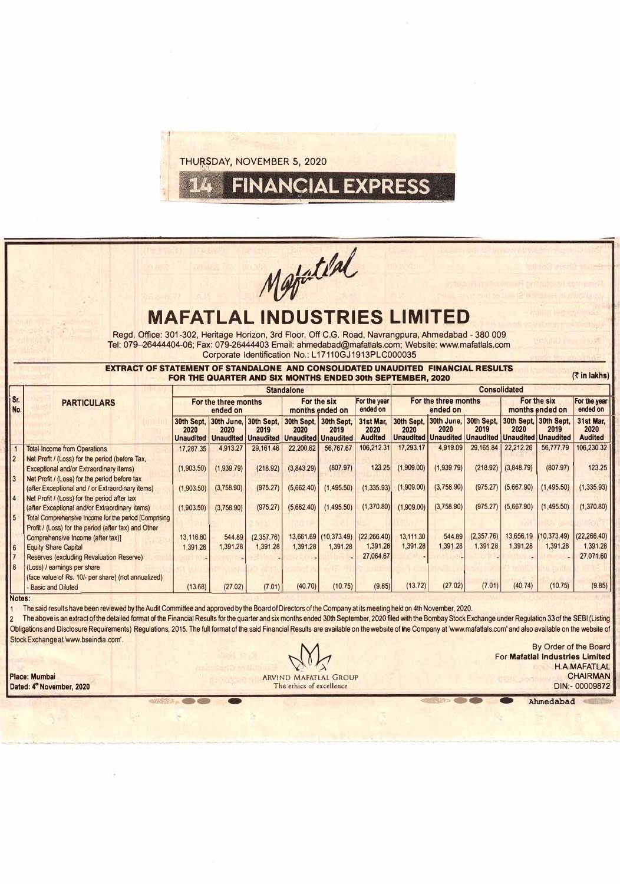THURSDAY, NOVEMBER 5, 2020

# *1,/J/J.*  ,�-

**FINANCIAL EXPRESS** 

## **MAFATLAL INDUSTRIES LIMIT**

Regd. Office: 301-302, Heritage Horizon, 3rd Floor, Off C.G. Road, Navrangpura, Ahmadabad - 380 009 Tel: 079-26444404-06; Fax: 079-26444403 Email: ahmedabad@mafatlals.com: Website: www.mafatlals.com Corporate Identification No.: L 17110GJ 1913PLC000035

**EXTRACT OF STATEMENT OF STANDALONE AND CONSOLIDATED UNAUDITED FINANCIAL RESULTS FOR THE QUARTER AND SIX MONTHS ENDED 30th SEPTEMBER, 2020 �lnlakhs)** 

|            |                                                        | <b>Standalone</b>                      |                    |                    |                                                               |                    |                                     |                                  | <b>Consolidated</b>                                                                                                         |            |                                |             |                                     |  |  |
|------------|--------------------------------------------------------|----------------------------------------|--------------------|--------------------|---------------------------------------------------------------|--------------------|-------------------------------------|----------------------------------|-----------------------------------------------------------------------------------------------------------------------------|------------|--------------------------------|-------------|-------------------------------------|--|--|
| Sr.<br>No. | <b>PARTICULARS</b>                                     | For the three months<br>ended on       |                    |                    | For the six<br>months ended on                                |                    | For the year<br>ended on            | For the three months<br>ended on |                                                                                                                             |            | For the six<br>months ended on |             | For the year<br>ended on            |  |  |
|            |                                                        | 30th Sept.<br>2020<br><b>Unaudited</b> | 30th June,<br>2020 | 30th Sept,<br>2019 | 30th Sept,<br>2020<br>Unaudited Unaudited Unaudited Unaudited | 30th Sept.<br>2019 | 31st Mar.<br>2020<br><b>Audited</b> | 2020                             | 30th Sept, 30th June, 30th Sept, 30th Sept, 30th Sept,<br>2020<br>Unaudited   Unaudited   Unaudited   Unaudited   Unaudited | 2019       | 2020                           | 2019        | 31st Mar,<br>2020<br><b>Audited</b> |  |  |
|            | <b>Total Income from Operations</b>                    | 17,287.35                              | 4.913.27           | 29.161.46          | 22,200.62                                                     | 56,767.67          | 106,212.31                          | 17,293.17                        | 4,919.09                                                                                                                    | 29,165.84  | 22,212.26                      | 56,777.79   | 106,230.32                          |  |  |
|            | Net Profit / (Loss) for the period (before Tax,        |                                        |                    |                    |                                                               |                    |                                     |                                  |                                                                                                                             |            |                                |             |                                     |  |  |
|            | Exceptional and/or Extraordinary items)                | (1,903.50)                             | (1,939.79)         | (218.92)           | (3,843.29)                                                    | (807.97)           | 123.25                              | (1,909.00)                       | (1,939.79)                                                                                                                  | (218.92)   | (3,848.79)                     | (807.97)    | 123.25                              |  |  |
|            | Net Profit / (Loss) for the period before tax          |                                        |                    |                    |                                                               |                    |                                     |                                  |                                                                                                                             |            |                                |             |                                     |  |  |
|            | (after Exceptional and / or Extraordinary items)       | (1,903.50)                             | (3,758.90)         | (975.27)           | (5,662.40)                                                    | (1,495.50)         | (1,335.93)                          | (1,909.00)                       | (3,758.90)                                                                                                                  |            | $(975.27)$ $(5,667.90)$        | (1,495.50)  | (1,335.93)                          |  |  |
|            | Net Profit / (Loss) for the period after tax           |                                        |                    |                    |                                                               |                    |                                     |                                  |                                                                                                                             |            |                                |             |                                     |  |  |
|            | (after Exceptional and/or Extraordinary items)         | (1,903.50)                             | (3,758.90)         | (975.27)           | (5,662.40)                                                    | (1,495.50)         | (1,370.80)                          | (1,909.00)                       | (3,758.90)                                                                                                                  |            | $(975.27)$ (5,667.90)          | (1,495.50)  | (1,370.80)                          |  |  |
|            | Total Comprehensive Income for the period [Comprising] |                                        |                    |                    |                                                               |                    |                                     |                                  |                                                                                                                             |            |                                |             |                                     |  |  |
|            | Profit / (Loss) for the period (after tax) and Other   |                                        |                    |                    |                                                               |                    |                                     |                                  |                                                                                                                             |            |                                |             |                                     |  |  |
|            | Comprehensive Income (after tax)]                      | 13.116.80                              | 544.89             | (2,357.76)         | 13,661.69                                                     | (10, 373.49)       | (22.266.40)                         | 13,111.30                        | 544.89                                                                                                                      | (2,357.76) | 13,656.19                      | (10.373.49) | (22, 266.40)                        |  |  |
|            | <b>Equity Share Capital</b>                            | 1.391.28                               | 1.391.28           | 1.391.28           | 1.391.28                                                      | 1.391.28           | 1.391.28                            | 1.391.28                         | 1.391.28                                                                                                                    | 1.391.28   | 1.391.28                       | 1.391.28    | 1,391.28                            |  |  |
|            | Reserves (excluding Revaluation Reserve)               |                                        |                    |                    |                                                               |                    | 27,064.67                           |                                  |                                                                                                                             |            |                                |             | 27,071.60                           |  |  |
| 8 ا        | (Loss) / earnings per share                            |                                        |                    |                    |                                                               |                    |                                     |                                  |                                                                                                                             |            |                                |             |                                     |  |  |
|            | (face value of Rs. 10/- per share) (not annualized)    |                                        |                    |                    |                                                               |                    |                                     |                                  |                                                                                                                             |            |                                |             |                                     |  |  |
|            | <b>Basic and Diluted</b>                               | (13.68)                                | (27.02)            | (7.01)             | (40.70)                                                       | (10.75)            | (9.85)                              | (13.72)                          | (27.02)                                                                                                                     | (7.01)     | (40.74)                        | (10.75)     | (9.85)                              |  |  |

#### **Notes:**

The said results have been reviewed by the Audit Committee and approved by the Board of Directors of the Company at its meeting held on 4th November, 2020.

The above is an extract of the detailed format of the Financial Results for the quarter and six months ended 30th September, 2020 filed with the Bombay Stock Exchange under Regulation 33 of the SEBI (Listing Obligations and Disclosure Requirements) Regulations, 2015. The full format of the said Financial Results are available on the website of the Company at 'www.mafattals.com' and also available on the website of Stock Exchange at 'www.bseindia.com'.

Dated: 4<sup>th</sup> November, 2020

**Place: Mumbai CHAIRMAN CHAIRMAN CHAIRMAN CHAIRMAN CHAIRMAN CHAIRMAN CHAIRMAN CHAIRMAN CHAIRMAN CHAIRMAN CHAIRMAN**<br>Dated: 4<sup>th</sup> November, 2020 **CHAIRMAN CHAIRMAN CHAIRMAN The ethics of excellence** For Mafatlal Industrie<br>
ARVIND MAFATLAL GROUP<br>
The ethics of excellence<br>
DIN:-<br>
Ahmedabad<br>
Ahmedabad<br>
Ahmedabad

By Order of the Board<br>For Mafatlal Industries Limited<br>H.A.MAFATLAL For **Mafatlal Industries Limited**  H. A.MAFATLAL